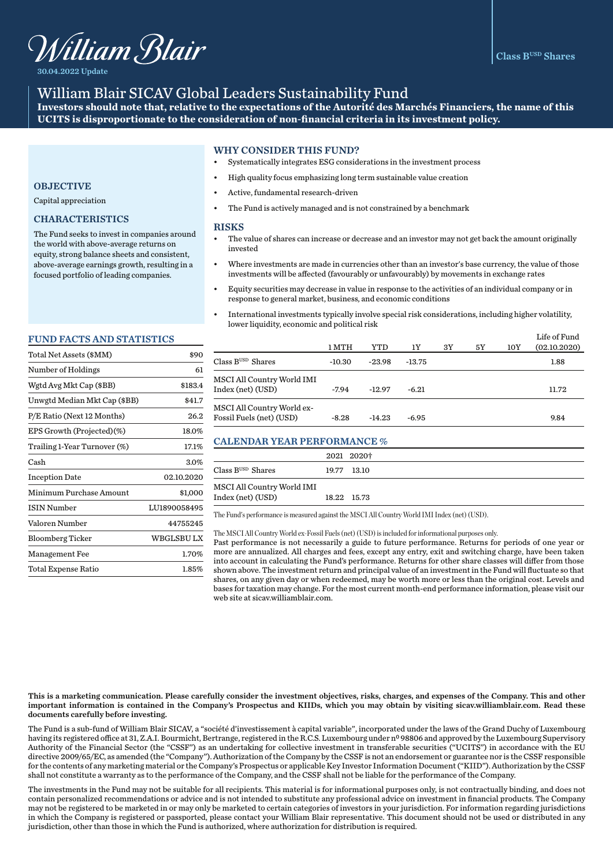

30.04.2022 Update

# William Blair SICAV Global Leaders Sustainability Fund

**Investors should note that, relative to the expectations of the Autorité des Marchés Financiers, the name of this UCITS is disproportionate to the consideration of non-financial criteria in its investment policy.** 

## WHY CONSIDER THIS FUND?

- Systematically integrates ESG considerations in the investment process
- High quality focus emphasizing long term sustainable value creation
- Active, fundamental research-driven
- The Fund is actively managed and is not constrained by a benchmark

#### **RISKS**

- The value of shares can increase or decrease and an investor may not get back the amount originally invested
- Where investments are made in currencies other than an investor's base currency, the value of those investments will be affected (favourably or unfavourably) by movements in exchange rates
- Equity securities may decrease in value in response to the activities of an individual company or in response to general market, business, and economic conditions
- International investments typically involve special risk considerations, including higher volatility, lower liquidity, economic and political risk

|                                                        | 1 MTH    | YTD      | 1Y       | 3Y | 5Y | 10Y | Life of Fund<br>(02.10.2020) |
|--------------------------------------------------------|----------|----------|----------|----|----|-----|------------------------------|
| Class B <sup>USD</sup> Shares                          | $-10.30$ | $-23.98$ | $-13.75$ |    |    |     | 1.88                         |
| MSCI All Country World IMI<br>Index (net) (USD)        | $-7.94$  | $-12.97$ | $-6.21$  |    |    |     | 11.72                        |
| MSCI All Country World ex-<br>Fossil Fuels (net) (USD) | $-8.28$  | $-14.23$ | $-6.95$  |    |    |     | 9.84                         |

## CALENDAR YEAR PERFORMANCE %

|                            | 2021 2020+  |
|----------------------------|-------------|
| $Class BUSD$ Shares        | 19.77 13.10 |
| MSCI All Country World IMI |             |
| Index (net) (USD)          | 18.22 15.73 |

The Fund's performance is measured against the MSCI All Country World IMI Index (net) (USD).

The MSCI All Country World ex-Fossil Fuels (net) (USD) is included for informational purposes only.

Past performance is not necessarily a guide to future performance. Returns for periods of one year or more are annualized. All charges and fees, except any entry, exit and switching charge, have been taken into account in calculating the Fund's performance. Returns for other share classes will differ from those shown above. The investment return and principal value of an investment in the Fund will fluctuate so that shares, on any given day or when redeemed, may be worth more or less than the original cost. Levels and bases for taxation may change. For the most current month-end performance information, please visit our web site at sicav.williamblair.com.

## **OBJECTIVE**

Capital appreciation

## CHARACTERISTICS

The Fund seeks to invest in companies around the world with above-average returns on equity, strong balance sheets and consistent, above-average earnings growth, resulting in a focused portfolio of leading companies.

#### FUND FACTS AND STATISTICS

| Total Net Assets (\$MM)      | \$90              |
|------------------------------|-------------------|
| Number of Holdings           | 61                |
| Wgtd Avg Mkt Cap (\$BB)      | \$183.4           |
| Unwgtd Median Mkt Cap (\$BB) | \$41.7            |
| P/E Ratio (Next 12 Months)   | 26.2              |
| EPS Growth (Projected)(%)    | 18.0%             |
| Trailing 1-Year Turnover (%) | 17.1%             |
| Cash                         | 3.0%              |
| <b>Inception Date</b>        | 02.10.2020        |
| Minimum Purchase Amount      | \$1,000           |
| <b>ISIN Number</b>           | LU1890058495      |
| Valoren Number               | 44755245          |
| <b>Bloomberg Ticker</b>      | <b>WBGLSBU LX</b> |
| Management Fee               | 1.70%             |
| Total Expense Ratio          | $1.85\%$          |
|                              |                   |

This is a marketing communication. Please carefully consider the investment objectives, risks, charges, and expenses of the Company. This and other important information is contained in the Company's Prospectus and KIIDs, which you may obtain by visiting sicav.williamblair.com. Read these documents carefully before investing.

The Fund is a sub-fund of William Blair SICAV, a "société d'investissement à capital variable", incorporated under the laws of the Grand Duchy of Luxembourg having its registered office at 31, Z.A.I. Bourmicht, Bertrange, registered in the R.C.S. Luxembourg under nº 98806 and approved by the Luxembourg Supervisory Authority of the Financial Sector (the "CSSF") as an undertaking for collective investment in transferable securities ("UCITS") in accordance with the EU directive 2009/65/EC, as amended (the "Company"). Authorization of the Company by the CSSF is not an endorsement or guarantee nor is the CSSF responsible for the contents of any marketing material or the Company's Prospectus or applicable Key Investor Information Document ("KIID"). Authorization by the CSSF shall not constitute a warranty as to the performance of the Company, and the CSSF shall not be liable for the performance of the Company.

The investments in the Fund may not be suitable for all recipients. This material is for informational purposes only, is not contractually binding, and does not contain personalized recommendations or advice and is not intended to substitute any professional advice on investment in financial products. The Company may not be registered to be marketed in or may only be marketed to certain categories of investors in your jurisdiction. For information regarding jurisdictions in which the Company is registered or passported, please contact your William Blair representative. This document should not be used or distributed in any jurisdiction, other than those in which the Fund is authorized, where authorization for distribution is required.